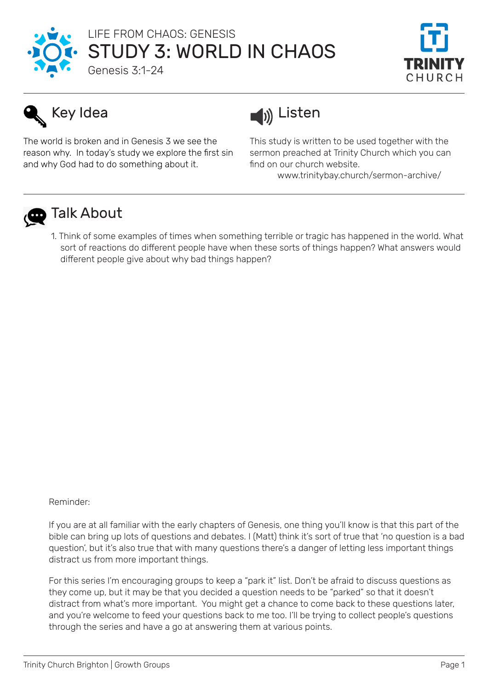



## Key Idea

The world is broken and in Genesis 3 we see the reason why. In today's study we explore the first sin and why God had to do something about it.



This study is written to be used together with the sermon preached at Trinity Church which you can find on our church website.

www.trinitybay.church/sermon-archive/



## **D** Talk About

1. Think of some examples of times when something terrible or tragic has happened in the world. What sort of reactions do different people have when these sorts of things happen? What answers would different people give about why bad things happen?

Reminder:

If you are at all familiar with the early chapters of Genesis, one thing you'll know is that this part of the bible can bring up lots of questions and debates. I (Matt) think it's sort of true that 'no question is a bad question', but it's also true that with many questions there's a danger of letting less important things distract us from more important things.

For this series I'm encouraging groups to keep a "park it" list. Don't be afraid to discuss questions as they come up, but it may be that you decided a question needs to be "parked" so that it doesn't distract from what's more important. You might get a chance to come back to these questions later, and you're welcome to feed your questions back to me too. I'll be trying to collect people's questions through the series and have a go at answering them at various points.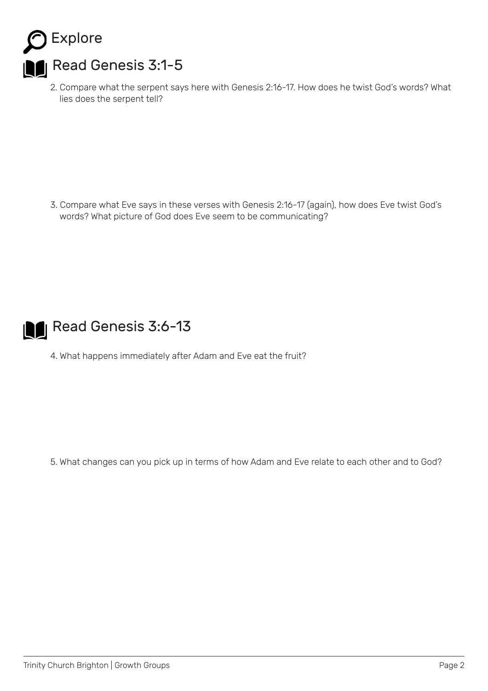

2. Compare what the serpent says here with Genesis 2:16-17. How does he twist God's words? What lies does the serpent tell?

3. Compare what Eve says in these verses with Genesis 2:16-17 (again), how does Eve twist God's words? What picture of God does Eve seem to be communicating?



4. What happens immediately after Adam and Eve eat the fruit?

5. What changes can you pick up in terms of how Adam and Eve relate to each other and to God?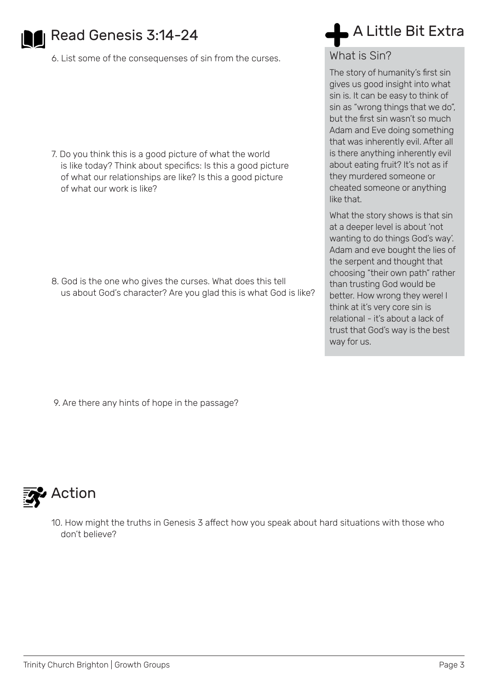

## Read Genesis 3:14-24

6. List some of the consequenses of sin from the curses.

7. Do you think this is a good picture of what the world is like today? Think about specifics: Is this a good picture of what our relationships are like? Is this a good picture of what our work is like?

8. God is the one who gives the curses. What does this tell us about God's character? Are you glad this is what God is like?

## A Little Bit Extra

What is Sin?

The story of humanity's first sin gives us good insight into what sin is. It can be easy to think of sin as "wrong things that we do", but the first sin wasn't so much Adam and Eve doing something that was inherently evil. After all is there anything inherently evil about eating fruit? It's not as if they murdered someone or cheated someone or anything like that.

What the story shows is that sin at a deeper level is about 'not wanting to do things God's way'. Adam and eve bought the lies of the serpent and thought that choosing "their own path" rather than trusting God would be better. How wrong they were! I think at it's very core sin is relational - it's about a lack of trust that God's way is the best way for us.

9. Are there any hints of hope in the passage?



10. How might the truths in Genesis 3 affect how you speak about hard situations with those who don't believe?